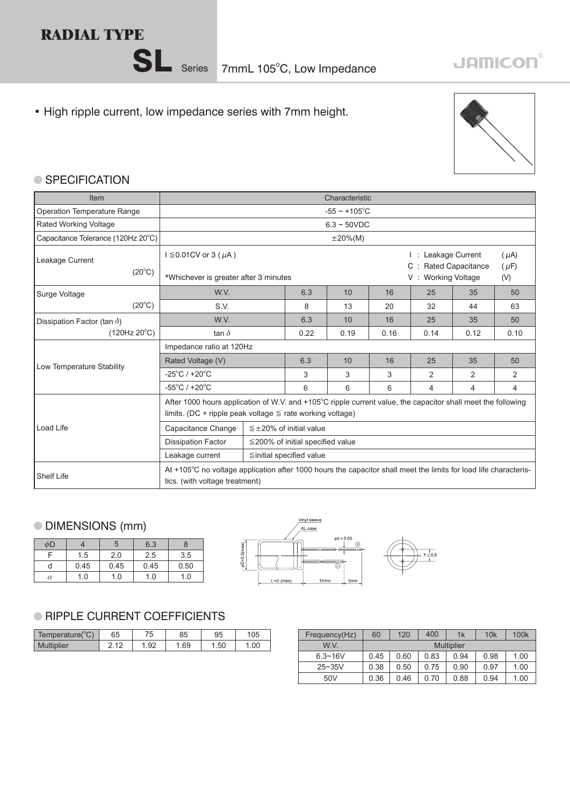# **RADIAL TYPE**

• High ripple current, low impedance series with 7mm height.



### ● SPECIFICATION

| Item                               | Characteristic                                                                                                                                                                 |            |                                                        |                        |      |                |      |    |  |  |
|------------------------------------|--------------------------------------------------------------------------------------------------------------------------------------------------------------------------------|------------|--------------------------------------------------------|------------------------|------|----------------|------|----|--|--|
| <b>Operation Temperature Range</b> | $-55 \sim +105$ °C                                                                                                                                                             |            |                                                        |                        |      |                |      |    |  |  |
| <b>Rated Working Voltage</b>       | $6.3 \sim 50$ VDC                                                                                                                                                              |            |                                                        |                        |      |                |      |    |  |  |
| Capacitance Tolerance (120Hz 20°C) |                                                                                                                                                                                | $±20\%(M)$ |                                                        |                        |      |                |      |    |  |  |
| Leakage Current                    | $I ≤ 0.01 CV$ or 3 ( $\mu$ A)                                                                                                                                                  |            | : Leakage Current<br><b>Rated Capacitance</b><br>$C$ : | $(\mu A)$<br>$(\mu F)$ |      |                |      |    |  |  |
| $(20^{\circ}C)$                    | *Whichever is greater after 3 minutes                                                                                                                                          |            | V: Working Voltage                                     |                        | (V)  |                |      |    |  |  |
| Surge Voltage                      | W.V.                                                                                                                                                                           |            | 6.3                                                    | 10                     | 16   | 25             | 35   | 50 |  |  |
| $(20^{\circ}C)$                    | S.V.                                                                                                                                                                           | 8          | 13                                                     | 20                     | 32   | 44             | 63   |    |  |  |
| Dissipation Factor (tan $\delta$ ) | W.V.                                                                                                                                                                           | 6.3        | 10                                                     | 16                     | 25   | 35             | 50   |    |  |  |
| (120Hz 20°C)                       | tan $\delta$                                                                                                                                                                   | 0.22       | 0.19                                                   | 0.16                   | 0.14 | 0.12           | 0.10 |    |  |  |
|                                    | Impedance ratio at 120Hz                                                                                                                                                       |            |                                                        |                        |      |                |      |    |  |  |
| Low Temperature Stability          | Rated Voltage (V)                                                                                                                                                              |            | 6.3                                                    | 10                     | 16   | 25             | 35   | 50 |  |  |
|                                    | $-25^{\circ}$ C / +20 $^{\circ}$ C                                                                                                                                             |            | 3                                                      | 3                      | 3    | $\overline{2}$ | 2    | 2  |  |  |
|                                    | $-55^{\circ}$ C / +20 $^{\circ}$ C                                                                                                                                             | 6          | 6                                                      | 6                      | 4    | 4              | 4    |    |  |  |
|                                    | After 1000 hours application of W.V. and +105°C ripple current value, the capacitor shall meet the following<br>limits. (DC + ripple peak voltage $\leq$ rate working voltage) |            |                                                        |                        |      |                |      |    |  |  |
| Load Life                          | Capacitance Change                                                                                                                                                             |            | $\leq \pm 20\%$ of initial value                       |                        |      |                |      |    |  |  |
|                                    | <b>Dissipation Factor</b>                                                                                                                                                      |            | $\leq$ 200% of initial specified value                 |                        |      |                |      |    |  |  |
|                                    | Leakage current                                                                                                                                                                |            | ≦initial specified value                               |                        |      |                |      |    |  |  |
| <b>Shelf Life</b>                  | At +105 $\degree$ C no voltage application after 1000 hours the capacitor shall meet the limits for load life characteris-<br>tics. (with voltage treatment)                   |            |                                                        |                        |      |                |      |    |  |  |

## DIMENSIONS (mm)

| φD |      |      | 6.3  |      |
|----|------|------|------|------|
|    | 1.5  | 2.0  | 2.5  | 3.5  |
|    | 0.45 | 0.45 | 0.45 | 0.50 |
| α  | 1.0  | 1.0  | 1.0  | 1.0  |



### **RIPPLE CURRENT COEFFICIENTS**

| $10^{\circ}$<br>Temperature( | 65         | 75<br>ັບ | 85  | 95  | 05  |
|------------------------------|------------|----------|-----|-----|-----|
| <b>Multiplier</b>            | $\sqrt{2}$ | .92      | .69 | .50 | .00 |

| 105  | Frequency(Hz)   | 60   | 120  | 400  | 1k                | 10k  | 100 <sub>k</sub> |
|------|-----------------|------|------|------|-------------------|------|------------------|
| 1.00 | W.V.            |      |      |      | <b>Multiplier</b> |      |                  |
|      | $6.3 - 16V$     | 0.45 | 0.60 | 0.83 | 0.94              | 0.98 | 1.00             |
|      | $25 - 35V$      | 0.38 | 0.50 | 0.75 | 0.90              | 0.97 | 1.00             |
|      | 50 <sub>V</sub> | 0.36 | 0.46 | 0.70 | 0.88              | 0.94 | 1.00             |